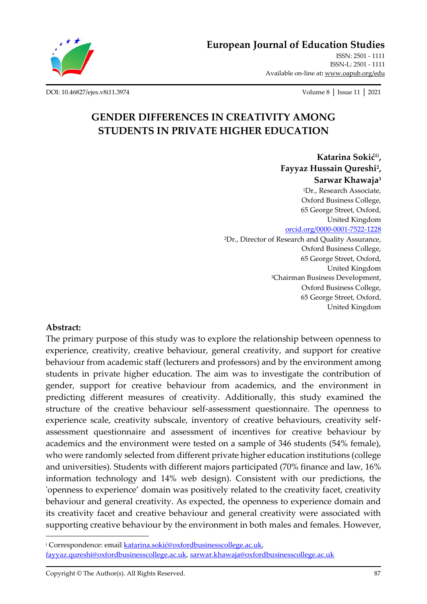

**[European Journal of Education Studies](http://oapub.org/edu/index.php/ejes)**

[ISSN: 2501 -](http://oapub.org/edu/index.php/ejes) 1111 [ISSN-L: 2501 -](http://oapub.org/edu/index.php/ejes) 1111 Available on-line at**:** [www.oapub.org/edu](http://www.oapub.org/edu)

[DOI: 10.46827/ejes.v8i11.3974](http://dx.doi.org/10.46827/ejes.v8i11.3974) Volume 8 │ Issue 11 │ 2021

# **GENDER DIFFERENCES IN CREATIVITY AMONG STUDENTS IN PRIVATE HIGHER EDUCATION**

**Katarina Sokić1i , Fayyaz Hussain Qureshi<sup>2</sup> , Sarwar Khawaja<sup>3</sup>** <sup>1</sup>Dr., Research Associate, Oxford Business College, 65 George Street, Oxford, United Kingdom [orcid.org/0000-0001-7522-1228](https://orcid.org/0000-0001-7522-1228) <sup>2</sup>Dr., Director of Research and Quality Assurance, Oxford Business College, 65 George Street, Oxford, United Kingdom <sup>3</sup>Chairman Business Development, Oxford Business College, 65 George Street, Oxford, United Kingdom

#### **Abstract:**

The primary purpose of this study was to explore the relationship between openness to experience, creativity, creative behaviour, general creativity, and support for creative behaviour from academic staff (lecturers and professors) and by the environment among students in private higher education. The aim was to investigate the contribution of gender, support for creative behaviour from academics, and the environment in predicting different measures of creativity. Additionally, this study examined the structure of the creative behaviour self-assessment questionnaire. The openness to experience scale, creativity subscale, inventory of creative behaviours, creativity selfassessment questionnaire and assessment of incentives for creative behaviour by academics and the environment were tested on a sample of 346 students (54% female), who were randomly selected from different private higher education institutions (college and universities). Students with different majors participated (70% finance and law, 16% information technology and 14% web design). Consistent with our predictions, the 'openness to experience' domain was positively related to the creativity facet, creativity behaviour and general creativity. As expected, the openness to experience domain and its creativity facet and creative behaviour and general creativity were associated with supporting creative behaviour by the environment in both males and females. However,

<sup>&</sup>lt;sup>i</sup> Correspondence: email [katarina.sokić@oxfordbusinesscollege.ac.uk](mailto:katarina.sokić@oxfordbusinesscollege.ac.uk), [fayyaz.qureshi@oxfordbusinesscollege.ac.uk,](mailto:fayyaz.qureshi@oxfordbusinesscollege.ac.uk) [sarwar.khawaja@oxfordbusinesscollege.ac.uk](mailto:sarwar.khawaja@oxfordbusinesscollege.ac.uk)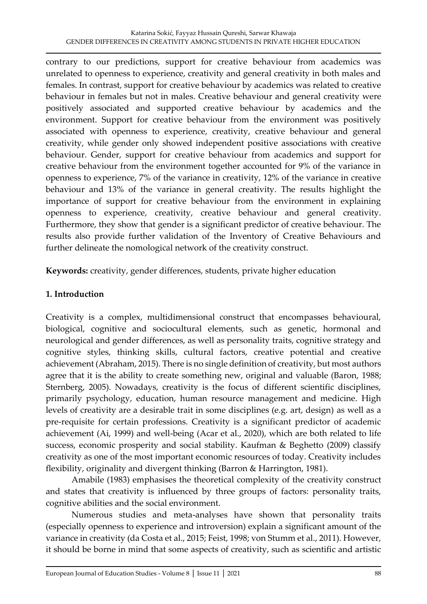contrary to our predictions, support for creative behaviour from academics was unrelated to openness to experience, creativity and general creativity in both males and females. In contrast, support for creative behaviour by academics was related to creative behaviour in females but not in males. Creative behaviour and general creativity were positively associated and supported creative behaviour by academics and the environment. Support for creative behaviour from the environment was positively associated with openness to experience, creativity, creative behaviour and general creativity, while gender only showed independent positive associations with creative behaviour. Gender, support for creative behaviour from academics and support for creative behaviour from the environment together accounted for 9% of the variance in openness to experience, 7% of the variance in creativity, 12% of the variance in creative behaviour and 13% of the variance in general creativity. The results highlight the importance of support for creative behaviour from the environment in explaining openness to experience, creativity, creative behaviour and general creativity. Furthermore, they show that gender is a significant predictor of creative behaviour. The results also provide further validation of the Inventory of Creative Behaviours and further delineate the nomological network of the creativity construct.

**Keywords:** creativity, gender differences, students, private higher education

## **1. Introduction**

Creativity is a complex, multidimensional construct that encompasses behavioural, biological, cognitive and sociocultural elements, such as genetic, hormonal and neurological and gender differences, as well as personality traits, cognitive strategy and cognitive styles, thinking skills, cultural factors, creative potential and creative achievement (Abraham, 2015). There is no single definition of creativity, but most authors agree that it is the ability to create something new, original and valuable (Baron, 1988; Sternberg, 2005). Nowadays, creativity is the focus of different scientific disciplines, primarily psychology, education, human resource management and medicine. High levels of creativity are a desirable trait in some disciplines (e.g. art, design) as well as a pre-requisite for certain professions. Creativity is a significant predictor of academic achievement (Ai, 1999) and well-being (Acar et al., 2020), which are both related to life success, economic prosperity and social stability. Kaufman & Beghetto (2009) classify creativity as one of the most important economic resources of today. Creativity includes flexibility, originality and divergent thinking (Barron & Harrington, 1981).

Amabile (1983) emphasises the theoretical complexity of the creativity construct and states that creativity is influenced by three groups of factors: personality traits, cognitive abilities and the social environment.

Numerous studies and meta-analyses have shown that personality traits (especially openness to experience and introversion) explain a significant amount of the variance in creativity (da Costa et al., 2015; Feist, 1998; von Stumm et al., 2011). However, it should be borne in mind that some aspects of creativity, such as scientific and artistic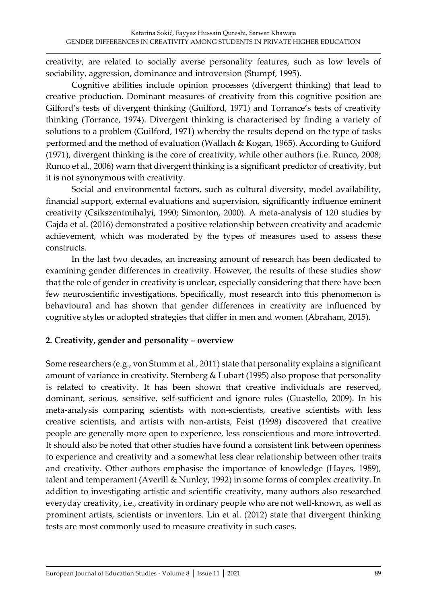creativity, are related to socially averse personality features, such as low levels of sociability, aggression, dominance and introversion (Stumpf, 1995).

Cognitive abilities include opinion processes (divergent thinking) that lead to creative production. Dominant measures of creativity from this cognitive position are Gilford's tests of divergent thinking (Guilford, 1971) and Torrance's tests of creativity thinking (Torrance, 1974). Divergent thinking is characterised by finding a variety of solutions to a problem (Guilford, 1971) whereby the results depend on the type of tasks performed and the method of evaluation (Wallach & Kogan, 1965). According to Guiford (1971), divergent thinking is the core of creativity, while other authors (i.e. Runco, 2008; Runco et al., 2006) warn that divergent thinking is a significant predictor of creativity, but it is not synonymous with creativity.

Social and environmental factors, such as cultural diversity, model availability, financial support, external evaluations and supervision, significantly influence eminent creativity (Csikszentmihalyi, 1990; Simonton, 2000). A meta-analysis of 120 studies by Gajda et al. (2016) demonstrated a positive relationship between creativity and academic achievement, which was moderated by the types of measures used to assess these constructs.

In the last two decades, an increasing amount of research has been dedicated to examining gender differences in creativity. However, the results of these studies show that the role of gender in creativity is unclear, especially considering that there have been few neuroscientific investigations. Specifically, most research into this phenomenon is behavioural and has shown that gender differences in creativity are influenced by cognitive styles or adopted strategies that differ in men and women (Abraham, 2015).

## **2. Creativity, gender and personality – overview**

Some researchers (e.g., von Stumm et al., 2011) state that personality explains a significant amount of variance in creativity. Sternberg & Lubart (1995) also propose that personality is related to creativity. It has been shown that creative individuals are reserved, dominant, serious, sensitive, self-sufficient and ignore rules (Guastello, 2009). In his meta-analysis comparing scientists with non-scientists, creative scientists with less creative scientists, and artists with non-artists, Feist (1998) discovered that creative people are generally more open to experience, less conscientious and more introverted. It should also be noted that other studies have found a consistent link between openness to experience and creativity and a somewhat less clear relationship between other traits and creativity. Other authors emphasise the importance of knowledge (Hayes, 1989), talent and temperament (Averill & Nunley, 1992) in some forms of complex creativity. In addition to investigating artistic and scientific creativity, many authors also researched everyday creativity, i.e., creativity in ordinary people who are not well-known, as well as prominent artists, scientists or inventors. Lin et al. (2012) state that divergent thinking tests are most commonly used to measure creativity in such cases.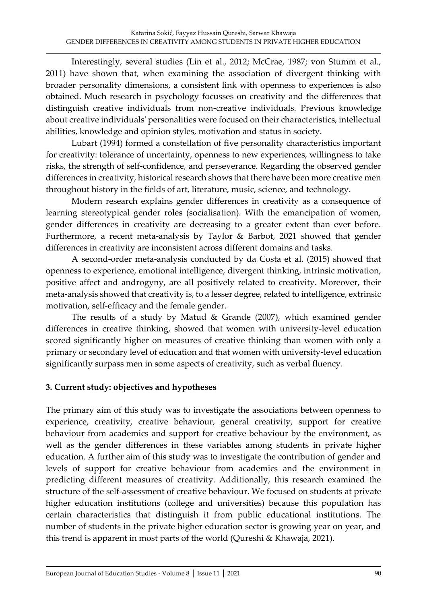Interestingly, several studies (Lin et al., 2012; McCrae, 1987; von Stumm et al., 2011) have shown that, when examining the association of divergent thinking with broader personality dimensions, a consistent link with openness to experiences is also obtained. Much research in psychology focusses on creativity and the differences that distinguish creative individuals from non-creative individuals. Previous knowledge about creative individuals' personalities were focused on their characteristics, intellectual abilities, knowledge and opinion styles, motivation and status in society.

Lubart (1994) formed a constellation of five personality characteristics important for creativity: tolerance of uncertainty, openness to new experiences, willingness to take risks, the strength of self-confidence, and perseverance. Regarding the observed gender differences in creativity, historical research shows that there have been more creative men throughout history in the fields of art, literature, music, science, and technology.

Modern research explains gender differences in creativity as a consequence of learning stereotypical gender roles (socialisation). With the emancipation of women, gender differences in creativity are decreasing to a greater extent than ever before. Furthermore, a recent meta-analysis by Taylor & Barbot, 2021 showed that gender differences in creativity are inconsistent across different domains and tasks.

A second-order meta-analysis conducted by da Costa et al. (2015) showed that openness to experience, emotional intelligence, divergent thinking, intrinsic motivation, positive affect and androgyny, are all positively related to creativity. Moreover, their meta-analysis showed that creativity is, to a lesser degree, related to intelligence, extrinsic motivation, self-efficacy and the female gender.

The results of a study by Matud & Grande (2007), which examined gender differences in creative thinking, showed that women with university-level education scored significantly higher on measures of creative thinking than women with only a primary or secondary level of education and that women with university-level education significantly surpass men in some aspects of creativity, such as verbal fluency.

# **3. Current study: objectives and hypotheses**

The primary aim of this study was to investigate the associations between openness to experience, creativity, creative behaviour, general creativity, support for creative behaviour from academics and support for creative behaviour by the environment, as well as the gender differences in these variables among students in private higher education. A further aim of this study was to investigate the contribution of gender and levels of support for creative behaviour from academics and the environment in predicting different measures of creativity. Additionally, this research examined the structure of the self-assessment of creative behaviour. We focused on students at private higher education institutions (college and universities) because this population has certain characteristics that distinguish it from public educational institutions. The number of students in the private higher education sector is growing year on year, and this trend is apparent in most parts of the world (Qureshi & Khawaja, 2021).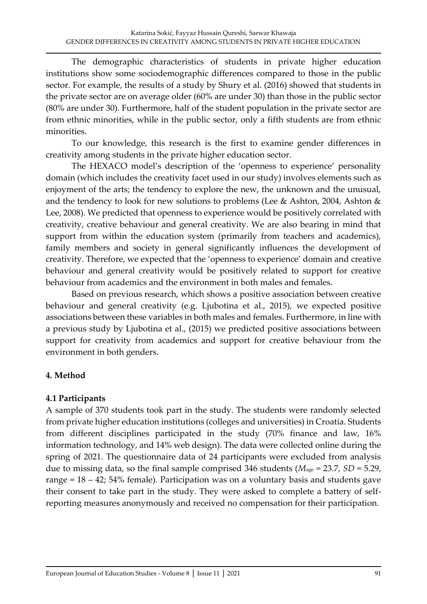The demographic characteristics of students in private higher education institutions show some sociodemographic differences compared to those in the public sector. For example, the results of a study by Shury et al. (2016) showed that students in the private sector are on average older (60% are under 30) than those in the public sector (80% are under 30). Furthermore, half of the student population in the private sector are from ethnic minorities, while in the public sector, only a fifth students are from ethnic minorities.

To our knowledge, this research is the first to examine gender differences in creativity among students in the private higher education sector.

The HEXACO model's description of the 'openness to experience' personality domain (which includes the creativity facet used in our study) involves elements such as enjoyment of the arts; the tendency to explore the new, the unknown and the unusual, and the tendency to look for new solutions to problems (Lee & Ashton, 2004, Ashton & Lee, 2008). We predicted that openness to experience would be positively correlated with creativity, creative behaviour and general creativity. We are also bearing in mind that support from within the education system (primarily from teachers and academics), family members and society in general significantly influences the development of creativity. Therefore, we expected that the 'openness to experience' domain and creative behaviour and general creativity would be positively related to support for creative behaviour from academics and the environment in both males and females.

Based on previous research, which shows a positive association between creative behaviour and general creativity (e.g. Ljubotina et al., 2015), we expected positive associations between these variables in both males and females. Furthermore, in line with a previous study by Ljubotina et al., (2015) we predicted positive associations between support for creativity from academics and support for creative behaviour from the environment in both genders.

## **4. Method**

## **4.1 Participants**

A sample of 370 students took part in the study. The students were randomly selected from private higher education institutions (colleges and universities) in Croatia. Students from different disciplines participated in the study (70% finance and law, 16% information technology, and 14% web design). The data were collected online during the spring of 2021. The questionnaire data of 24 participants were excluded from analysis due to missing data, so the final sample comprised 346 students (*M*age = 23.7, *SD* = 5.29, range =  $18 - 42$ ; 54% female). Participation was on a voluntary basis and students gave their consent to take part in the study. They were asked to complete a battery of selfreporting measures anonymously and received no compensation for their participation.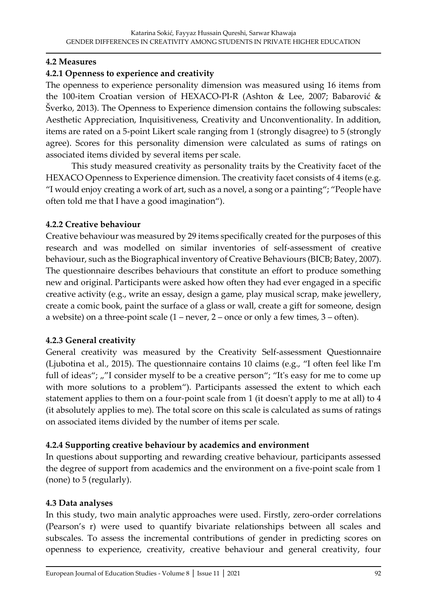## **4.2 Measures**

## **4.2.1 Openness to experience and creativity**

The openness to experience personality dimension was measured using 16 items from the 100-item Croatian version of HEXACO-PI-R (Ashton & Lee, 2007; Babarović & Šverko, 2013). The Openness to Experience dimension contains the following subscales: Aesthetic Appreciation, Inquisitiveness, Creativity and Unconventionality. In addition, items are rated on a 5-point Likert scale ranging from 1 (strongly disagree) to 5 (strongly agree). Scores for this personality dimension were calculated as sums of ratings on associated items divided by several items per scale.

This study measured creativity as personality traits by the Creativity facet of the HEXACO Openness to Experience dimension. The creativity facet consists of 4 items (e.g. "I would enjoy creating a work of art, such as a novel, a song or a painting"; "People have often told me that I have a good imagination").

## **4.2.2 Creative behaviour**

Creative behaviour was measured by 29 items specifically created for the purposes of this research and was modelled on similar inventories of self-assessment of creative behaviour, such as the Biographical inventory of Creative Behaviours (BICB; Batey, 2007). The questionnaire describes behaviours that constitute an effort to produce something new and original. Participants were asked how often they had ever engaged in a specific creative activity (e.g., write an essay, design a game, play musical scrap, make jewellery, create a comic book, paint the surface of a glass or wall, create a gift for someone, design a website) on a three-point scale (1 – never, 2 – once or only a few times, 3 – often).

## **4.2.3 General creativity**

General creativity was measured by the Creativity Self-assessment Questionnaire (Ljubotina et al., 2015). The questionnaire contains 10 claims (e.g., "I often feel like I'm full of ideas";  $\mu$ "I consider myself to be a creative person"; "It's easy for me to come up with more solutions to a problem"). Participants assessed the extent to which each statement applies to them on a four-point scale from 1 (it doesn't apply to me at all) to 4 (it absolutely applies to me). The total score on this scale is calculated as sums of ratings on associated items divided by the number of items per scale.

# **4.2.4 Supporting creative behaviour by academics and environment**

In questions about supporting and rewarding creative behaviour, participants assessed the degree of support from academics and the environment on a five-point scale from 1 (none) to 5 (regularly).

## **4.3 Data analyses**

In this study, two main analytic approaches were used. Firstly, zero-order correlations (Pearson's r) were used to quantify bivariate relationships between all scales and subscales. To assess the incremental contributions of gender in predicting scores on openness to experience, creativity, creative behaviour and general creativity, four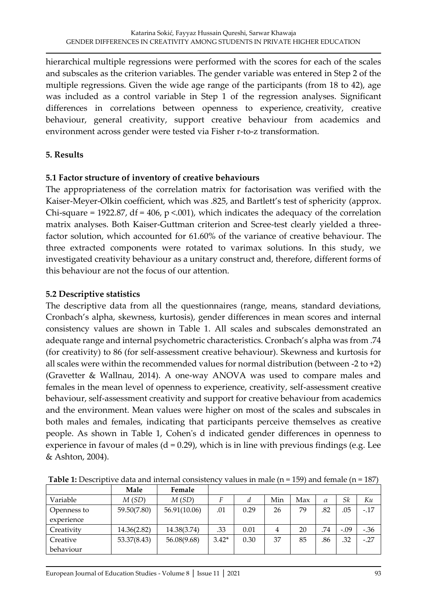hierarchical multiple regressions were performed with the scores for each of the scales and subscales as the criterion variables. The gender variable was entered in Step 2 of the multiple regressions. Given the wide age range of the participants (from 18 to 42), age was included as a control variable in Step 1 of the regression analyses. Significant differences in correlations between openness to experience, creativity, creative behaviour, general creativity, support creative behaviour from academics and environment across gender were tested via Fisher r-to-z transformation.

## **5. Results**

#### **5.1 Factor structure of inventory of creative behaviours**

The appropriateness of the correlation matrix for factorisation was verified with the Kaiser-Meyer-Olkin coefficient, which was .825, and Bartlett's test of sphericity (approx. Chi-square = 1922.87, df = 406,  $p$  <.001), which indicates the adequacy of the correlation matrix analyses. Both Kaiser-Guttman criterion and Scree-test clearly yielded a threefactor solution, which accounted for 61.60% of the variance of creative behaviour. The three extracted components were rotated to varimax solutions. In this study, we investigated creativity behaviour as a unitary construct and, therefore, different forms of this behaviour are not the focus of our attention.

#### **5.2 Descriptive statistics**

The descriptive data from all the questionnaires (range, means, standard deviations, Cronbach's alpha, skewness, kurtosis), gender differences in mean scores and internal consistency values are shown in Table 1. All scales and subscales demonstrated an adequate range and internal psychometric characteristics. Cronbach's alpha was from .74 (for creativity) to 86 (for self-assessment creative behaviour). Skewness and kurtosis for all scales were within the recommended values for normal distribution (between -2 to  $+2$ ) (Gravetter & Wallnau, 2014). A one-way ANOVA was used to compare males and females in the mean level of openness to experience, creativity, self-assessment creative behaviour, self-assessment creativity and support for creative behaviour from academics and the environment. Mean values were higher on most of the scales and subscales in both males and females, indicating that participants perceive themselves as creative people. As shown in Table 1, Cohen's d indicated gender differences in openness to experience in favour of males  $(d = 0.29)$ , which is in line with previous findings (e.g. Lee & Ashton, 2004).

|             | Male        | Female       |         |      |     |     |          |        |        |
|-------------|-------------|--------------|---------|------|-----|-----|----------|--------|--------|
| Variable    | M(SD)       | M(SD)        |         | a    | Min | Max | $\alpha$ | Sk     | Ku     |
| Openness to | 59.50(7.80) | 56.91(10.06) | .01     | 0.29 | 26  | 79  | .82      | .05    | $-.17$ |
| experience  |             |              |         |      |     |     |          |        |        |
| Creativity  | 14.36(2.82) | 14.38(3.74)  | .33     | 0.01 | 4   | 20  | .74      | $-.09$ | $-.36$ |
| Creative    | 53.37(8.43) | 56.08(9.68)  | $3.42*$ | 0.30 | 37  | 85  | .86      | .32    | $-.27$ |
| behaviour   |             |              |         |      |     |     |          |        |        |

**Table 1:** Descriptive data and internal consistency values in male (n = 159) and female (n = 187)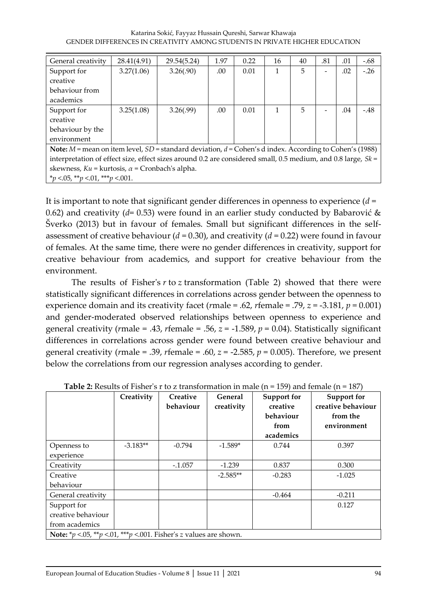| General creativity                                                                                             | 28.41(4.91) | 29.54(5.24) | 1.97 | 0.22 | 16 | 40 | .81 | .01 | $-.68$ |
|----------------------------------------------------------------------------------------------------------------|-------------|-------------|------|------|----|----|-----|-----|--------|
| Support for                                                                                                    | 3.27(1.06)  | 3.26(.90)   | .00  | 0.01 | 1  | 5  |     | .02 | $-.26$ |
| creative                                                                                                       |             |             |      |      |    |    |     |     |        |
| behaviour from                                                                                                 |             |             |      |      |    |    |     |     |        |
| academics                                                                                                      |             |             |      |      |    |    |     |     |        |
| Support for                                                                                                    | 3.25(1.08)  | 3.26(.99)   | .00  | 0.01 |    | 5  |     | .04 | $-.48$ |
| creative                                                                                                       |             |             |      |      |    |    |     |     |        |
| behaviour by the                                                                                               |             |             |      |      |    |    |     |     |        |
| environment                                                                                                    |             |             |      |      |    |    |     |     |        |
| Note: $M$ = mean on item level, $SD$ = standard deviation, $d$ = Cohen's d index. According to Cohen's (1988)  |             |             |      |      |    |    |     |     |        |
| interpretation of effect size, effect sizes around 0.2 are considered small, 0.5 medium, and 0.8 large, $Sk =$ |             |             |      |      |    |    |     |     |        |
| skewness, $Ku = kurtosis$ , $\alpha$ = Cronbach's alpha.                                                       |             |             |      |      |    |    |     |     |        |
| *p <.05, **p <.01, ***p <.001.                                                                                 |             |             |      |      |    |    |     |     |        |

It is important to note that significant gender differences in openness to experience (*d* = 0.62) and creativity (*d*= 0.53) were found in an earlier study conducted by Babarović & Šverko (2013) but in favour of females. Small but significant differences in the selfassessment of creative behaviour (*d* = 0.30), and creativity (*d* = 0.22) were found in favour of females. At the same time, there were no gender differences in creativity, support for creative behaviour from academics, and support for creative behaviour from the environment.

The results of Fisher's *r* to *z* transformation (Table 2) showed that there were statistically significant differences in correlations across gender between the openness to experience domain and its creativity facet (*r*male = .62, *r*female = .79, *z* = -3.181, *p* = 0.001) and gender-moderated observed relationships between openness to experience and general creativity ( $r$ male = .43,  $r$ female = .56,  $z$  = -1.589,  $p$  = 0.04). Statistically significant differences in correlations across gender were found between creative behaviour and general creativity ( $r$ male = .39,  $r$ female = .60,  $z$  = -2.585,  $p$  = 0.005). Therefore, we present below the correlations from our regression analyses according to gender.

|                    | Creativity                                                               | Creative<br>behaviour | General<br>creativity | Support for<br>creative<br>behaviour<br>from<br>academics | Support for<br>creative behaviour<br>from the<br>environment |  |  |  |  |  |  |
|--------------------|--------------------------------------------------------------------------|-----------------------|-----------------------|-----------------------------------------------------------|--------------------------------------------------------------|--|--|--|--|--|--|
| Openness to        | $-3.183**$                                                               | $-0.794$              | $-1.589*$             | 0.744                                                     | 0.397                                                        |  |  |  |  |  |  |
| experience         |                                                                          |                       |                       |                                                           |                                                              |  |  |  |  |  |  |
| Creativity         |                                                                          | $-.1.057$             | $-1.239$              | 0.837                                                     | 0.300                                                        |  |  |  |  |  |  |
| Creative           |                                                                          |                       | $-2.585**$            | $-0.283$                                                  | $-1.025$                                                     |  |  |  |  |  |  |
| behaviour          |                                                                          |                       |                       |                                                           |                                                              |  |  |  |  |  |  |
| General creativity |                                                                          |                       |                       | $-0.464$                                                  | $-0.211$                                                     |  |  |  |  |  |  |
| Support for        |                                                                          |                       |                       |                                                           | 0.127                                                        |  |  |  |  |  |  |
| creative behaviour |                                                                          |                       |                       |                                                           |                                                              |  |  |  |  |  |  |
| from academics     |                                                                          |                       |                       |                                                           |                                                              |  |  |  |  |  |  |
|                    | <b>Note:</b> *p <.05, **p <.01, ***p <.001. Fisher's z values are shown. |                       |                       |                                                           |                                                              |  |  |  |  |  |  |

**Table 2:** Results of Fisher's r to z transformation in male (n = 159) and female (n = 187)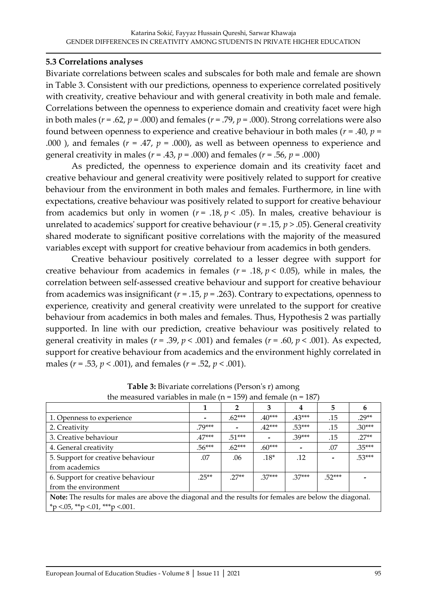## **5.3 Correlations analyses**

Bivariate correlations between scales and subscales for both male and female are shown in Table 3. Consistent with our predictions, openness to experience correlated positively with creativity, creative behaviour and with general creativity in both male and female. Correlations between the openness to experience domain and creativity facet were high in both males ( $r = .62$ ,  $p = .000$ ) and females ( $r = .79$ ,  $p = .000$ ). Strong correlations were also found between openness to experience and creative behaviour in both males ( $r = .40$ ,  $p =$ .000 ), and females  $(r = .47, p = .000)$ , as well as between openness to experience and general creativity in males ( $r = .43$ ,  $p = .000$ ) and females ( $r = .56$ ,  $p = .000$ )

As predicted, the openness to experience domain and its creativity facet and creative behaviour and general creativity were positively related to support for creative behaviour from the environment in both males and females. Furthermore, in line with expectations, creative behaviour was positively related to support for creative behaviour from academics but only in women ( $r = .18$ ,  $p < .05$ ). In males, creative behaviour is unrelated to academics' support for creative behaviour ( $r = .15$ ,  $p > .05$ ). General creativity shared moderate to significant positive correlations with the majority of the measured variables except with support for creative behaviour from academics in both genders.

Creative behaviour positively correlated to a lesser degree with support for creative behaviour from academics in females  $(r = .18, p < 0.05)$ , while in males, the correlation between self-assessed creative behaviour and support for creative behaviour from academics was insignificant ( $r = .15$ ,  $p = .263$ ). Contrary to expectations, openness to experience, creativity and general creativity were unrelated to the support for creative behaviour from academics in both males and females. Thus, Hypothesis 2 was partially supported. In line with our prediction, creative behaviour was positively related to general creativity in males ( $r = .39$ ,  $p < .001$ ) and females ( $r = .60$ ,  $p < .001$ ). As expected, support for creative behaviour from academics and the environment highly correlated in males (*r* = .53, *p* < .001), and females (*r* = .52, *p* < .001).

| uic measureu vaniables in maie (n<br>$107$ and ignore the<br><b>TAN</b>                                |          |          |          |          |          |          |  |  |  |
|--------------------------------------------------------------------------------------------------------|----------|----------|----------|----------|----------|----------|--|--|--|
|                                                                                                        |          |          | 3        | 4        | 5        | 6        |  |  |  |
| 1. Openness to experience                                                                              |          | $.62***$ | $.40***$ | $.43***$ | .15      | $29**$   |  |  |  |
| 2. Creativity                                                                                          |          |          | $.42***$ | $.53***$ | .15      | $.30***$ |  |  |  |
| 3. Creative behaviour                                                                                  | $.47***$ | $.51***$ |          | $.39***$ | .15      | $27**$   |  |  |  |
| 4. General creativity                                                                                  | $.56***$ | $.62***$ | $.60***$ |          | .07      | $.35***$ |  |  |  |
| 5. Support for creative behaviour                                                                      | .07      | .06      | $.18*$   | .12      |          | $.53***$ |  |  |  |
| from academics                                                                                         |          |          |          |          |          |          |  |  |  |
| 6. Support for creative behaviour                                                                      | $25**$   | $.27**$  | $.37***$ | $.37***$ | $.52***$ |          |  |  |  |
| from the environment                                                                                   |          |          |          |          |          |          |  |  |  |
| Note: The results for males are above the diagonal and the results for females are below the diagonal. |          |          |          |          |          |          |  |  |  |
| *p <.05, **p <.01, ***p <.001.                                                                         |          |          |          |          |          |          |  |  |  |

**Table 3:** Bivariate correlations (Person's r) among the measured variables in male ( $n = 159$ ) and female ( $n = 187$ )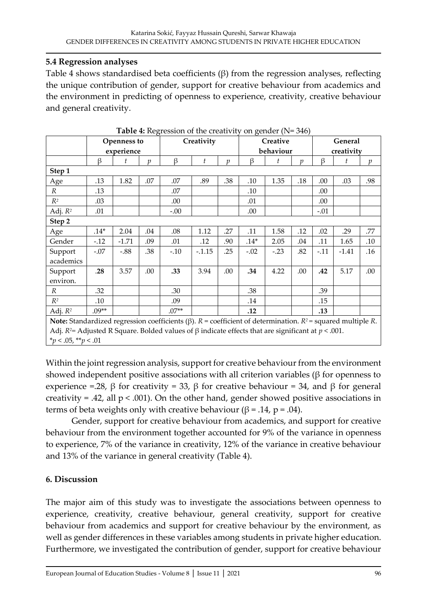## **5.4 Regression analyses**

Table 4 shows standardised beta coefficients (β) from the regression analyses, reflecting the unique contribution of gender, support for creative behaviour from academics and the environment in predicting of openness to experience, creativity, creative behaviour and general creativity.

|                                                                                                                         | Openness to              |         | Creativity    |         |          | $\sigma$ and $\sigma$ is the set of $\sigma$<br>Creative |        |        | General       |        |         |                |
|-------------------------------------------------------------------------------------------------------------------------|--------------------------|---------|---------------|---------|----------|----------------------------------------------------------|--------|--------|---------------|--------|---------|----------------|
|                                                                                                                         | experience               |         |               |         |          | behaviour                                                |        |        | creativity    |        |         |                |
|                                                                                                                         | β                        | t       | $\mathcal{p}$ | β       | t        | $\mathfrak{p}$                                           | β      | t      | $\mathcal{p}$ | β      | t       | $\mathfrak{p}$ |
| Step 1                                                                                                                  |                          |         |               |         |          |                                                          |        |        |               |        |         |                |
| Age                                                                                                                     | .13                      | 1.82    | .07           | .07     | .89      | .38                                                      | .10    | 1.35   | .18           | .00    | .03     | .98            |
| $\mathbb{R}$                                                                                                            | .13                      |         |               | .07     |          |                                                          | .10    |        |               | .00    |         |                |
| $R^2$                                                                                                                   | .03                      |         |               | .00.    |          |                                                          | .01    |        |               | .00    |         |                |
| Adj. $R^2$                                                                                                              | .01                      |         |               | $-.00$  |          |                                                          | .00.   |        |               | $-.01$ |         |                |
| Step 2                                                                                                                  |                          |         |               |         |          |                                                          |        |        |               |        |         |                |
| Age                                                                                                                     | $.14*$                   | 2.04    | .04           | .08     | 1.12     | .27                                                      | .11    | 1.58   | .12           | .02    | .29     | .77            |
| Gender                                                                                                                  | $-.12$                   | $-1.71$ | .09           | .01     | .12      | .90                                                      | $.14*$ | 2.05   | .04           | .11    | 1.65    | .10            |
| Support                                                                                                                 | $-.07$                   | $-.88$  | .38           | $-.10$  | $-.1.15$ | .25                                                      | $-.02$ | $-.23$ | .82           | $-.11$ | $-1.41$ | .16            |
| academics                                                                                                               |                          |         |               |         |          |                                                          |        |        |               |        |         |                |
| Support                                                                                                                 | .28                      | 3.57    | .00           | .33     | 3.94     | .00                                                      | .34    | 4.22   | .00           | .42    | 5.17    | .00.           |
| environ.                                                                                                                |                          |         |               |         |          |                                                          |        |        |               |        |         |                |
| $\mathbb{R}$                                                                                                            | .32                      |         |               | .30     |          |                                                          | .38    |        |               | .39    |         |                |
| $R^2$                                                                                                                   | .10                      |         |               | .09     |          |                                                          | .14    |        |               | .15    |         |                |
| Adj. $R^2$                                                                                                              | $.09**$                  |         |               | $.07**$ |          |                                                          | .12    |        |               | .13    |         |                |
| Note: Standardized regression coefficients ( $\beta$ ). $R$ = coefficient of determination. $R^2$ = squared multiple R. |                          |         |               |         |          |                                                          |        |        |               |        |         |                |
| Adj. $R^2$ = Adjusted R Square. Bolded values of $\beta$ indicate effects that are significant at $p < .001$ .          |                          |         |               |         |          |                                                          |        |        |               |        |         |                |
|                                                                                                                         | $*_p$ < .05, $*_p$ < .01 |         |               |         |          |                                                          |        |        |               |        |         |                |

**Table 4:** Regression of the creativity on gender (N= 346)

Within the joint regression analysis, support for creative behaviour from the environment showed independent positive associations with all criterion variables ( $\beta$  for openness to experience =.28, β for creativity = 33, β for creative behaviour = 34, and β for general creativity = .42, all  $p < .001$ ). On the other hand, gender showed positive associations in terms of beta weights only with creative behaviour (β = .14, p = .04).

Gender, support for creative behaviour from academics, and support for creative behaviour from the environment together accounted for 9% of the variance in openness to experience, 7% of the variance in creativity, 12% of the variance in creative behaviour and 13% of the variance in general creativity (Table 4).

# **6. Discussion**

The major aim of this study was to investigate the associations between openness to experience, creativity, creative behaviour, general creativity, support for creative behaviour from academics and support for creative behaviour by the environment, as well as gender differences in these variables among students in private higher education. Furthermore, we investigated the contribution of gender, support for creative behaviour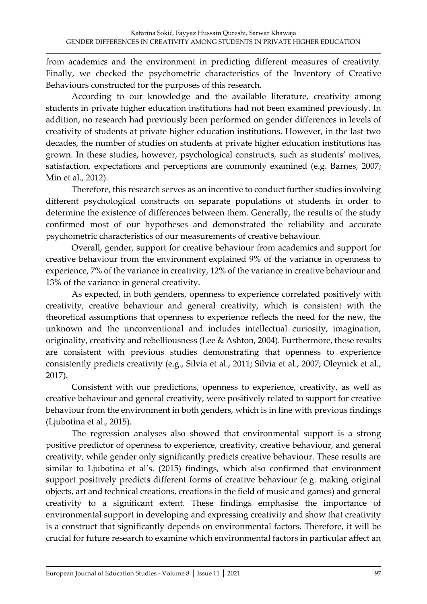from academics and the environment in predicting different measures of creativity. Finally, we checked the psychometric characteristics of the Inventory of Creative Behaviours constructed for the purposes of this research.

According to our knowledge and the available literature, creativity among students in private higher education institutions had not been examined previously. In addition, no research had previously been performed on gender differences in levels of creativity of students at private higher education institutions. However, in the last two decades, the number of studies on students at private higher education institutions has grown. In these studies, however, psychological constructs, such as students' motives, satisfaction, expectations and perceptions are commonly examined (e.g. Barnes, 2007; Min et al., 2012).

Therefore, this research serves as an incentive to conduct further studies involving different psychological constructs on separate populations of students in order to determine the existence of differences between them. Generally, the results of the study confirmed most of our hypotheses and demonstrated the reliability and accurate psychometric characteristics of our measurements of creative behaviour.

Overall, gender, support for creative behaviour from academics and support for creative behaviour from the environment explained 9% of the variance in openness to experience, 7% of the variance in creativity, 12% of the variance in creative behaviour and 13% of the variance in general creativity.

As expected, in both genders, openness to experience correlated positively with creativity, creative behaviour and general creativity, which is consistent with the theoretical assumptions that openness to experience reflects the need for the new, the unknown and the unconventional and includes intellectual curiosity, imagination, originality, creativity and rebelliousness (Lee & Ashton, 2004). Furthermore, these results are consistent with previous studies demonstrating that openness to experience consistently predicts creativity (e.g., Silvia et al., 2011; Silvia et al., 2007; Oleynick et al., 2017).

Consistent with our predictions, openness to experience, creativity, as well as creative behaviour and general creativity, were positively related to support for creative behaviour from the environment in both genders, which is in line with previous findings (Ljubotina et al., 2015).

The regression analyses also showed that environmental support is a strong positive predictor of openness to experience, creativity, creative behaviour, and general creativity, while gender only significantly predicts creative behaviour. These results are similar to Ljubotina et al's. (2015) findings, which also confirmed that environment support positively predicts different forms of creative behaviour (e.g. making original objects, art and technical creations, creations in the field of music and games) and general creativity to a significant extent. These findings emphasise the importance of environmental support in developing and expressing creativity and show that creativity is a construct that significantly depends on environmental factors. Therefore, it will be crucial for future research to examine which environmental factors in particular affect an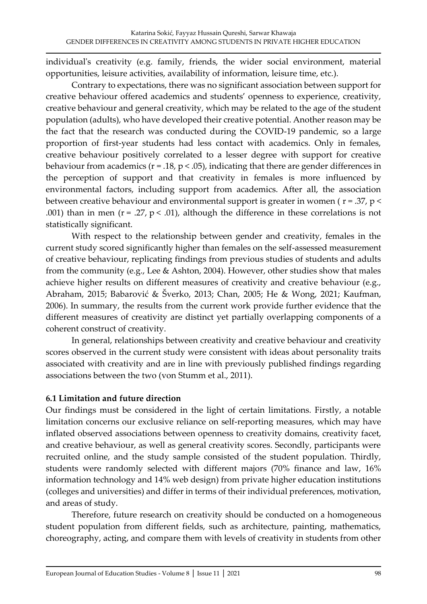individual's creativity (e.g. family, friends, the wider social environment, material opportunities, leisure activities, availability of information, leisure time, etc.).

Contrary to expectations, there was no significant association between support for creative behaviour offered academics and students' openness to experience, creativity, creative behaviour and general creativity, which may be related to the age of the student population (adults), who have developed their creative potential. Another reason may be the fact that the research was conducted during the COVID-19 pandemic, so a large proportion of first-year students had less contact with academics. Only in females, creative behaviour positively correlated to a lesser degree with support for creative behaviour from academics ( $r = .18$ ,  $p < .05$ ), indicating that there are gender differences in the perception of support and that creativity in females is more influenced by environmental factors, including support from academics. After all, the association between creative behaviour and environmental support is greater in women ( $r = .37$ ,  $p <$ .001) than in men ( $r = 0.27$ ,  $p < 0.01$ ), although the difference in these correlations is not statistically significant.

With respect to the relationship between gender and creativity, females in the current study scored significantly higher than females on the self-assessed measurement of creative behaviour, replicating findings from previous studies of students and adults from the community (e.g., Lee & Ashton, 2004). However, other studies show that males achieve higher results on different measures of creativity and creative behaviour (e.g., Abraham, 2015; Babarović & Šverko, 2013; Chan, 2005; He & Wong, 2021; Kaufman, 2006). In summary, the results from the current work provide further evidence that the different measures of creativity are distinct yet partially overlapping components of a coherent construct of creativity.

In general, relationships between creativity and creative behaviour and creativity scores observed in the current study were consistent with ideas about personality traits associated with creativity and are in line with previously published findings regarding associations between the two (von Stumm et al., 2011).

## **6.1 Limitation and future direction**

Our findings must be considered in the light of certain limitations. Firstly, a notable limitation concerns our exclusive reliance on self-reporting measures, which may have inflated observed associations between openness to creativity domains, creativity facet, and creative behaviour, as well as general creativity scores. Secondly, participants were recruited online, and the study sample consisted of the student population. Thirdly, students were randomly selected with different majors (70% finance and law, 16% information technology and 14% web design) from private higher education institutions (colleges and universities) and differ in terms of their individual preferences, motivation, and areas of study.

Therefore, future research on creativity should be conducted on a homogeneous student population from different fields, such as architecture, painting, mathematics, choreography, acting, and compare them with levels of creativity in students from other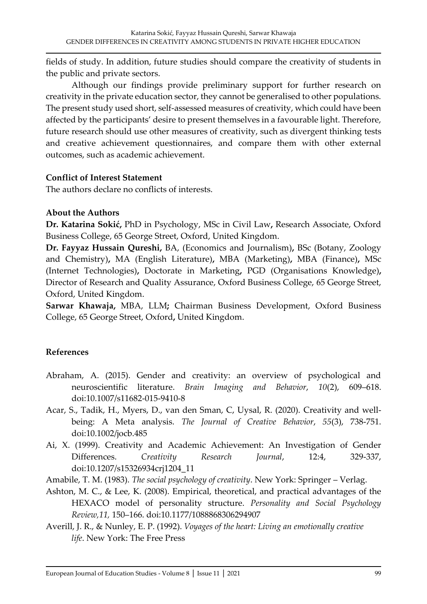fields of study. In addition, future studies should compare the creativity of students in the public and private sectors.

Although our findings provide preliminary support for further research on creativity in the private education sector, they cannot be generalised to other populations. The present study used short, self-assessed measures of creativity, which could have been affected by the participants' desire to present themselves in a favourable light. Therefore, future research should use other measures of creativity, such as divergent thinking tests and creative achievement questionnaires, and compare them with other external outcomes, such as academic achievement.

#### **Conflict of Interest Statement**

The authors declare no conflicts of interests.

## **About the Authors**

**Dr. Katarina Sokić,** PhD in Psychology, MSc in Civil Law**,** Research Associate, Oxford Business College, 65 George Street, Oxford, United Kingdom.

**Dr. Fayyaz Hussain Qureshi,** BA, (Economics and Journalism)**,** BSc (Botany, Zoology and Chemistry)**,** MA (English Literature)**,** MBA (Marketing)**,** MBA (Finance)**,** MSc (Internet Technologies)**,** Doctorate in Marketing**,** PGD (Organisations Knowledge)**,**  Director of Research and Quality Assurance, Oxford Business College, 65 George Street, Oxford, United Kingdom.

**Sarwar Khawaja,** MBA, LLM**;** Chairman Business Development, Oxford Business College, 65 George Street, Oxford**,** United Kingdom.

## **References**

- Abraham, A. (2015). Gender and creativity: an overview of psychological and neuroscientific literature. *Brain Imaging and Behavior*, *10*(2), 609–618. doi:10.1007/s11682-015-9410-8
- Acar, S., Tadik, H., Myers, D., van den Sman, C, Uysal, R. (2020). Creativity and wellbeing: A Meta analysis. *The Journal of Creative Behavior*, *55*(3), 738-751. doi:10.1002/jocb.485
- Ai, X. (1999). Creativity and Academic Achievement: An Investigation of Gender Differences. *Creativity Research Journal*, 12:4, 329-337, doi:10.1207/s15326934crj1204\_11
- Amabile, T. M. (1983). *The social psychology of creativity*. New York: Springer Verlag.
- Ashton, M. C., & Lee, K. (2008). Empirical, theoretical, and practical advantages of the HEXACO model of personality structure. *Personality and Social Psychology Review,11,* 150–166. doi:10.1177/1088868306294907
- Averill, J. R., & Nunley, E. P. (1992). *Voyages of the heart: Living an emotionally creative life*. New York: The Free Press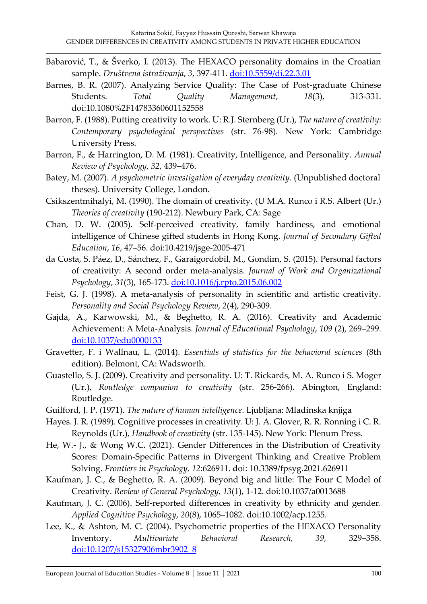- Babarović, T., & Šverko, I. (2013). The HEXACO personality domains in the Croatian sample. *Društvena istraživanja*, *3*, 397-411. [doi:10.5559/di.22.3.01](http://dx.doi:10.5559/di.22.3.01)
- Barnes, B. R. (2007). Analyzing Service Quality: The Case of Post-graduate Chinese Students. *Total Quality Management*, *18*(3), 313-331. doi:10.1080%2F14783360601152558
- Barron, F. (1988). Putting creativity to work. U: R.J. Sternberg (Ur.), *The nature of creativity*: *Contemporary psychological perspectives* (str. 76-98). New York: Cambridge University Press.
- Barron, F., & Harrington, D. M. (1981). Creativity, Intelligence, and Personality. *Annual Review of Psychology, 32*, 439–476.
- Batey, M. (2007). *A psychometric investigation of everyday creativity.* (Unpublished doctoral theses). University College, London.
- Csikszentmihalyi, M. (1990). The domain of creativity. (U M.A. Runco i R.S. Albert (Ur.) *Theories of creativity* (190-212). Newbury Park, CA: Sage
- Chan, D. W. (2005). Self-perceived creativity, family hardiness, and emotional intelligence of Chinese gifted students in Hong Kong. *Journal of Secondary Gifted Education*, *16*, 47–56. doi:10.4219/jsge-2005-471
- da Costa, S. Páez, D., Sánchez, F., Garaigordobil, M., Gondim, S. (2015). Personal factors of creativity: A second order meta-analysis. *Journal of Work and Organizational Psychology*, *31*(3), 165-173. [doi:10.1016/j.rpto.2015.06.002](https://doi.org/10.1016/j.rpto.2015.06.002)
- Feist, G. J. (1998). A meta-analysis of personality in scientific and artistic creativity. *Personality and Social Psychology Review*, *2*(4), 290-309.
- Gajda, A., Karwowski, M., & Beghetto, R. A. (2016). Creativity and Academic Achievement: A Meta-Analysis. *Journal of Educational Psychology*, *109* (2), 269–299. [doi:10.1037/edu0000133](https://doi.org/10.1037/edu0000133)
- Gravetter, F. i Wallnau, L. (2014). *Essentials of statistics for the behavioral sciences* (8th edition). Belmont, CA: Wadsworth.
- Guastello, S. J. (2009). Creativity and personality. U: T. Rickards, M. A. Runco i S. Moger (Ur.), *Routledge companion to creativity* (str. 256-266). Abington, England: Routledge.
- Guilford, J. P. (1971). *The nature of human intelligence*. Ljubljana: Mladinska knjiga
- Hayes. J. R. (1989). Cognitive processes in creativity. U: J. A. Glover, R. R. Ronning i C. R. Reynolds (Ur.), *Handbook of creativity* (str. 135-145). New York: Plenum Press.
- He, W.- J., & Wong W.C. (2021). Gender Differences in the Distribution of Creativity Scores: Domain-Specific Patterns in Divergent Thinking and Creative Problem Solving. *Frontiers in Psychology, 12*:626911. doi: 10.3389/fpsyg.2021.626911
- Kaufman, J. C., & Beghetto, R. A. (2009). Beyond big and little: The Four C Model of Creativity. *Review of General Psychology, 13*(1), 1-12. doi:10.1037/a0013688
- Kaufman, J. C. (2006). Self-reported differences in creativity by ethnicity and gender. *Applied Cognitive Psychology*, *20*(8), 1065–1082. doi:10.1002/acp.1255.
- Lee, K., & Ashton, M. C. (2004). Psychometric properties of the HEXACO Personality Inventory. *Multivariate Behavioral Research, 39,* 329–358. [doi:10.1207/s15327906mbr3902\\_8](http://dx.doi:10.1207/s15327906mbr3902_8)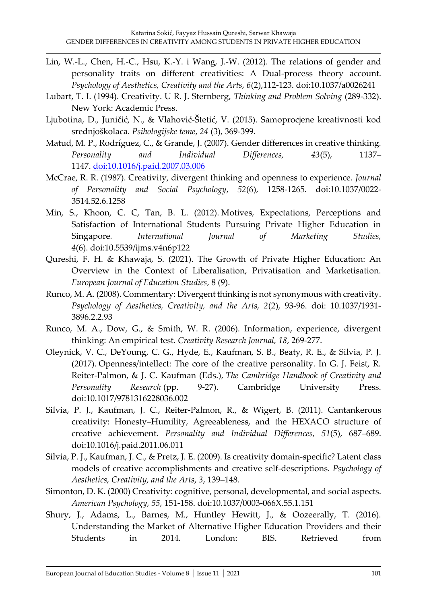- Lin, W.-L., Chen, H.-C., Hsu, K.-Y. i Wang, J.-W. (2012). The relations of gender and personality traits on different creativities: A Dual-process theory account. *Psychology of Aesthetics, Creativity and the Arts*, *6*(2),112-123. doi:10.1037/a0026241
- Lubart, T. I. (1994). Creativity. U R. J. Sternberg, *Thinking and Problem Solving* (289-332). New York: Academic Press.
- Ljubotina, D., Juničić, N., & Vlahović-Štetić, V. (2015). Samoprocjene kreativnosti kod srednjoškolaca. *Psihologijske teme*, *24* (3), 369-399.
- Matud, M. P., Rodríguez, C., & Grande, J. (2007). Gender differences in creative thinking*. Personality and Individual Differences, 43*(5), 1137– 1147. [doi:10.1016/j.paid.2007.03.006](http://dx.doi.org/doi:10.1016/j.paid.2007.03.006)
- McCrae, R. R. (1987). Creativity, divergent thinking and openness to experience. *Journal of Personality and Social Psychology*, *52*(6), 1258-1265. doi:10.1037/0022- 3514.52.6.1258
- Min, S., Khoon, C. C, Tan, B. L. (2012). Motives, Expectations, Perceptions and Satisfaction of International Students Pursuing Private Higher Education in Singapore*. International Journal of Marketing Studies, 4*(6). doi:10.5539/ijms.v4n6p122
- Qureshi, F. H. & Khawaja, S. (2021). The Growth of Private Higher Education: An Overview in the Context of Liberalisation, Privatisation and Marketisation. *European Journal of Education Studies*, 8 (9).
- Runco, M. A. (2008). Commentary: Divergent thinking is not synonymous with creativity. *Psychology of Aesthetics, Creativity, and the Arts, 2*(2), 93-96. doi: 10.1037/1931- 3896.2.2.93
- Runco, M. A., Dow, G., & Smith, W. R. (2006). Information, experience, divergent thinking: An empirical test. *Creativity Research Journal, 18*, 269-277.
- Oleynick, V. C., DeYoung, C. G., Hyde, E., Kaufman, S. B., Beaty, R. E., & Silvia, P. J. (2017). Openness/intellect: The core of the creative personality. In G. J. Feist, R. Reiter-Palmon, & J. C. Kaufman (Eds.), *The Cambridge Handbook of Creativity and Personality Research* (pp. 9-27). Cambridge University Press. doi:10.1017/9781316228036.002
- Silvia, P. J., Kaufman, J. C., Reiter-Palmon, R., & Wigert, B. (2011). Cantankerous creativity: Honesty–Humility, Agreeableness, and the HEXACO structure of creative achievement. *Personality and Individual Differences, 51*(5), 687–689. doi:10.1016/j.paid.2011.06.011
- Silvia, P. J., Kaufman, J. C., & Pretz, J. E. (2009). Is creativity domain-specific? Latent class models of creative accomplishments and creative self-descriptions. *Psychology of Aesthetics, Creativity, and the Arts*, *3*, 139–148.
- Simonton, D. K. (2000) Creativity: cognitive, personal, developmental, and social aspects. *American Psychology, 55,* 151-158. doi:10.1037/0003-066X.55.1.151
- Shury, J., Adams, L., Barnes, M., Huntley Hewitt, J., & Oozeerally, T. (2016). Understanding the Market of Alternative Higher Education Providers and their Students in 2014. London: BIS. Retrieved from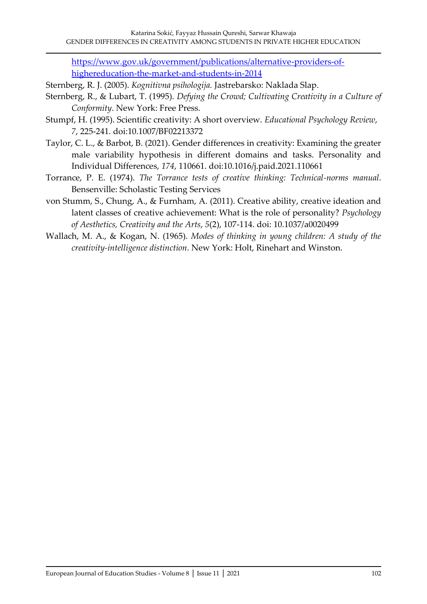[https://www.gov.uk/government/publications/alternative-providers-of](https://www.gov.uk/government/publications/alternative-providers-of-highereducation-the-market-and-students-in-2014)[highereducation-the-market-and-students-in-2014](https://www.gov.uk/government/publications/alternative-providers-of-highereducation-the-market-and-students-in-2014)

Sternberg, R. J. (2005). *Kognitivna psihologija.* Jastrebarsko: Naklada Slap.

- Sternberg, R., & Lubart, T. (1995). *Defying the Crowd; Cultivating Creativity in a Culture of Conformity*. New York: Free Press.
- Stumpf, H. (1995). Scientific creativity: A short overview. *Educational Psychology Review*, *7*, 225-241. doi:10.1007/BF02213372
- Taylor, C. L., & Barbot, B. (2021). Gender differences in creativity: Examining the greater male variability hypothesis in different domains and tasks. Personality and Individual Differences, *174*, 110661. doi:10.1016/j.paid.2021.110661
- Torrance, P. E. (1974). *The Torrance tests of creative thinking: Technical-norms manual*. Bensenville: Scholastic Testing Services
- von Stumm, S., Chung, A., & Furnham, A. (2011). Creative ability, creative ideation and latent classes of creative achievement: What is the role of personality? *Psychology of Aesthetics, Creativity and the Arts*, *5*(2), 107-114. doi: 10.1037/a0020499
- Wallach, M. A., & Kogan, N. (1965). *Modes of thinking in young children: A study of the creativity-intelligence distinction*. New York: Holt, Rinehart and Winston.